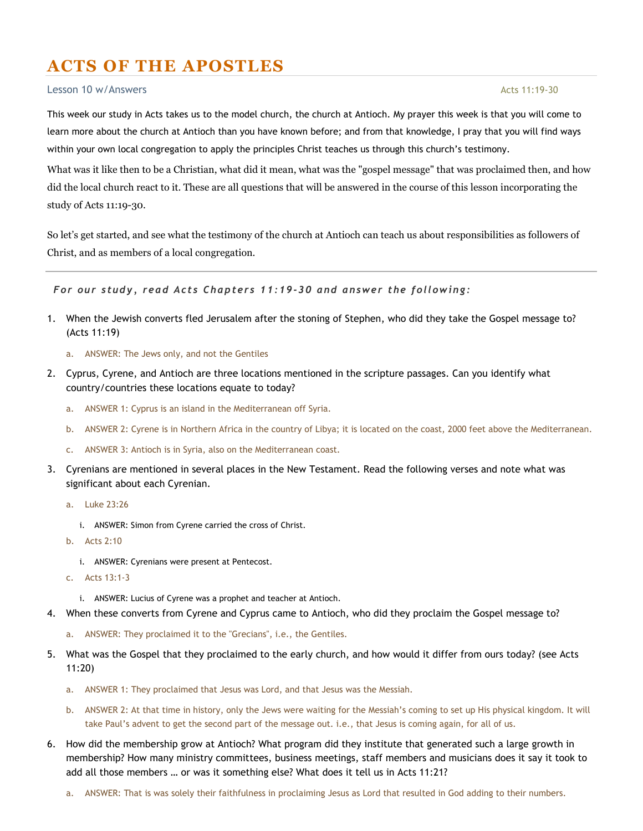## ACTS OF THE APOSTLES

## $\frac{1}{2}$  esson 10 w/Answers Acts 11:19-30

This week our study in Acts takes us to the model church, the church at Antioch. My prayer this week is that you will come to learn more about the church at Antioch than you have known before; and from that knowledge, I pray that you will find ways within your own local congregation to apply the principles Christ teaches us through this church's testimony.

What was it like then to be a Christian, what did it mean, what was the "gospel message" that was proclaimed then, and how did the local church react to it. These are all questions that will be answered in the course of this lesson incorporating the study of Acts 11:19-30.

So let's get started, and see what the testimony of the church at Antioch can teach us about responsibilities as followers of Christ, and as members of a local congregation.

For our study, read Acts Chapters 11:19-30 and answer the following:

- 1. When the Jewish converts fled Jerusalem after the stoning of Stephen, who did they take the Gospel message to? (Acts 11:19)
	- a. ANSWER: The Jews only, and not the Gentiles
- 2. Cyprus, Cyrene, and Antioch are three locations mentioned in the scripture passages. Can you identify what country/countries these locations equate to today?
	- a. ANSWER 1: Cyprus is an island in the Mediterranean off Syria.
	- b. ANSWER 2: Cyrene is in Northern Africa in the country of Libya; it is located on the coast, 2000 feet above the Mediterranean.
	- c. ANSWER 3: Antioch is in Syria, also on the Mediterranean coast.
- 3. Cyrenians are mentioned in several places in the New Testament. Read the following verses and note what was significant about each Cyrenian.
	- a. Luke 23:26
		- i. ANSWER: Simon from Cyrene carried the cross of Christ.
	- b. Acts 2:10
		- i. ANSWER: Cyrenians were present at Pentecost.
	- c. Acts 13:1-3
		- i. ANSWER: Lucius of Cyrene was a prophet and teacher at Antioch.
- 4. When these converts from Cyrene and Cyprus came to Antioch, who did they proclaim the Gospel message to?
	- a. ANSWER: They proclaimed it to the "Grecians", i.e., the Gentiles.
- 5. What was the Gospel that they proclaimed to the early church, and how would it differ from ours today? (see Acts 11:20)
	- a. ANSWER 1: They proclaimed that Jesus was Lord, and that Jesus was the Messiah.
	- b. ANSWER 2: At that time in history, only the Jews were waiting for the Messiah's coming to set up His physical kingdom. It will take Paul's advent to get the second part of the message out. i.e., that Jesus is coming again, for all of us.
- 6. How did the membership grow at Antioch? What program did they institute that generated such a large growth in membership? How many ministry committees, business meetings, staff members and musicians does it say it took to add all those members … or was it something else? What does it tell us in Acts 11:21?
	- a. ANSWER: That is was solely their faithfulness in proclaiming Jesus as Lord that resulted in God adding to their numbers.